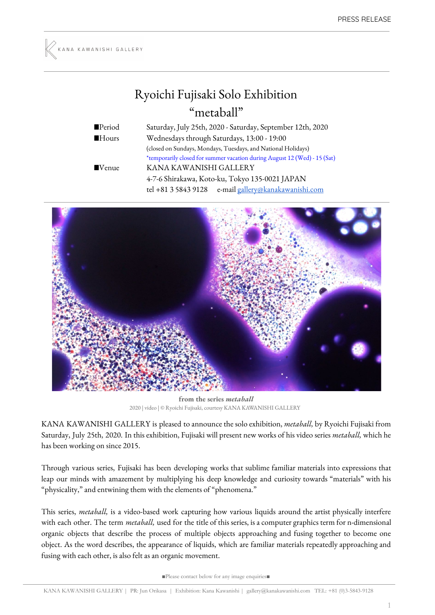## Ryoichi Fujisaki Solo Exhibition "metaball"

■Period Saturday, July 25th, 2020 - Saturday, September 12th, 2020 ■Hours Wednesdays through Saturdays, 13:00 - 19:00 (closed on Sundays, Mondays, Tuesdays, and National Holidays) \*temporarily closed for summer vacation during August 12 (Wed) - 15 (Sat) ■Venue KANA KAWANISHI GALLERY 4-7-6 Shirakawa, Koto-ku, Tokyo 135-0021 JAPAN tel +81 3 5843 9128 e-mail [gallery@kanakawanishi.com](mailto:gallery@kanakawanishi.com)



**from the series** *metaball* 2020 | video | © Ryoichi Fujisaki, courtesy KANA KAWANISHI GALLERY

KANA KAWANISHI GALLERY is pleased to announce the solo exhibition, *metaball,* by Ryoichi Fujisaki from Saturday, July 25th, 2020. In this exhibition, Fujisaki will present new works of his video series *metaball,* which he has been working on since 2015.

Through various series, Fujisaki has been developing works that sublime familiar materials into expressions that leap our minds with amazement by multiplying his deep knowledge and curiosity towards "materials" with his "physicality," and entwining them with the elements of "phenomena."

This series, *metaball,* is a video-based work capturing how various liquids around the artist physically interfere with each other. The term *metaball,* used for the title of this series, isa computer graphics term for n-dimensional organic objects that describe the process of multiple objects approaching and fusing together to become one object. As the word describes, the appearance of liquids, which are familiar materials repeatedly approaching and fusing with each other, is also felt as an organic movement.

■Please contact below for any image enquiries■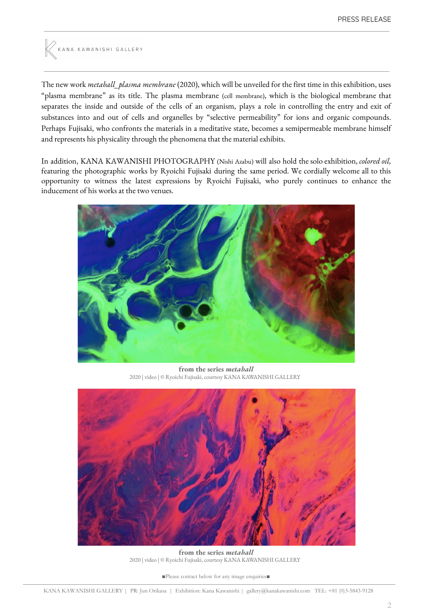

The new work *metaball\_plasma membrane* (2020), which will be unveiled for the first time in this exhibition, uses "plasma membrane" as its title. The plasma membrane (cell membrane), which is the biological membrane that separates the inside and outside of the cells of an organism, plays a role in controlling the entry and exit of substances into and out of cells and organelles by "selective permeability" for ions and organic compounds. Perhaps Fujisaki, who confronts the materials in a meditative state, becomes a semipermeable membrane himself and represents his physicality through the phenomena that the material exhibits.

In addition, KANA KAWANISHI PHOTOGRAPHY (Nishi Azabu) will also hold the solo exhibition, *colored oil,* featuring the photographic works by Ryoichi Fujisaki during the same period. We cordially welcome all to this opportunity to witness the latest expressions by Ryoichi Fujisaki, who purely continues to enhance the inducement of his works at the two venues.



**from the series** *metaball* 2020 | video | © Ryoichi Fujisaki, courtesy KANA KAWANISHI GALLERY



**from the series** *metaball* 2020 | video | © Ryoichi Fujisaki, courtesy KANA KAWANISHI GALLERY

■Please contact below for any image enquiries■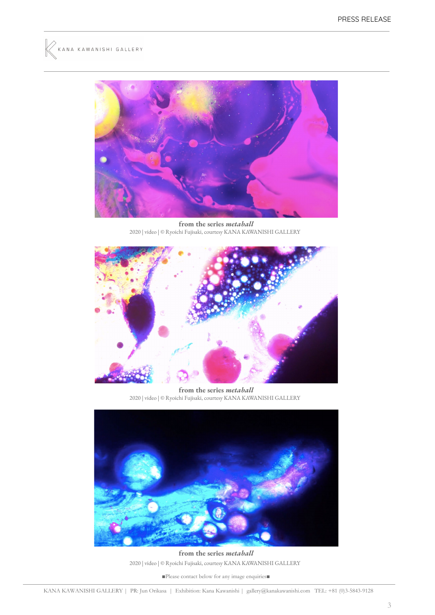



**from the series** *metaball* 2020 | video | © Ryoichi Fujisaki, courtesy KANA KAWANISHI GALLERY



**from the series** *metaball* 2020 | video | © Ryoichi Fujisaki, courtesy KANA KAWANISHI GALLERY



**from the series** *metaball* 2020 | video | © Ryoichi Fujisaki, courtesy KANA KAWANISHI GALLERY

■Please contact below for any image enquiries■